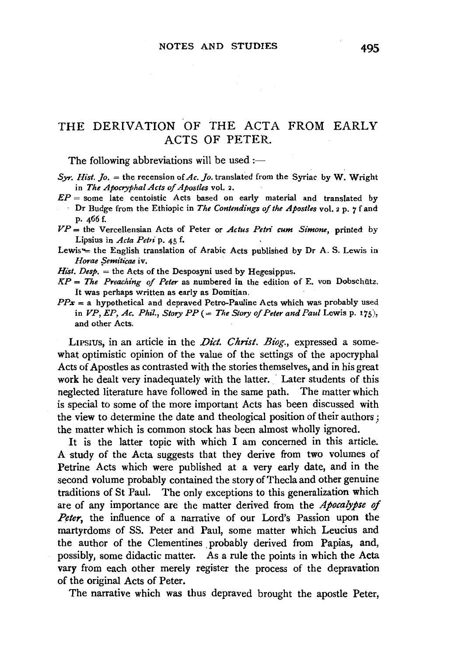# THE DERIVATION OF THE ACTA FROM EARLY ACTS OF PETER.

The following abbreviations will be used  $:$ 

- *Syr. Hist. Jo.* = the recension of *Ac. Jo.* translated from the Syriac by W. Wright in *The Apocryphal Acts of Apostles* vol. 2.
- $EP =$  some late centoistic Acts based on early material and translated by Dr Budge from the Ethiopic in *The Con/endings of the Apostles* vol. 2 p. *7* f and p. 466 f.
- *VP* = the Vercellensian Acts of Peter or *Actus Petri cum Simone,* printed by Lipsius in *Acta Petri* p. 45 f.
- Lewis = the English translation of Arabic Acts published by Dr A. S. Lewis in *Horae {iemiticae* iv.
- *Hist. Desp.* = the Acts of the Desposyni used by Hegesippus.
- $KP = The Preaching of Peter$  as numbered in the edition of E. von Dobschütz. It was perhaps written as early as Domitian.
- $PPx = a$  hypothetical and depraved Petro-Pauline Acts which was probably used in  $VP, EP, Ac, Phil., Story PP (= The Story of Peter and Paul Lewis p. 175),$ and other Acts.

LIPSIUS, in an article in the *Dict. Christ. Biog.*, expressed a somewhat optimistic opinion of the value of the settings of the apocryphal Acts of Apostles as contrasted with the stories themselves, and in his great work he dealt very inadequately with the latter. Later students of this neglected literature have followed in the same path. The matter which is special to some of the more important Acts has been discussed with the view to determine the date and theological position of their authors; the matter which is common stock has been almost wholly ignored.

It is the latter topic with which I am concerned in this article. A study of the Acta suggests that they derive from two volumes of Petrine Acts which were published at a very early date, and in the second volume probably contained the story of Thecla and other genuine traditions of St Paul. The only exceptions to this generalization which are of any importance are the matter derived from the *Apocalypse* of Peter, the influence of a narrative of our Lord's Passion upon the martyrdoms of SS. Peter and Paul, some matter which Leucius and the author of the Clementines probably derived from Papias, and, possibly, some didactic matter. As a rule the points in which the Acta vary from each other merely register the process of the depravation of the original Acts of Peter.

The narrative which was thus depraved brought the apostle Peter,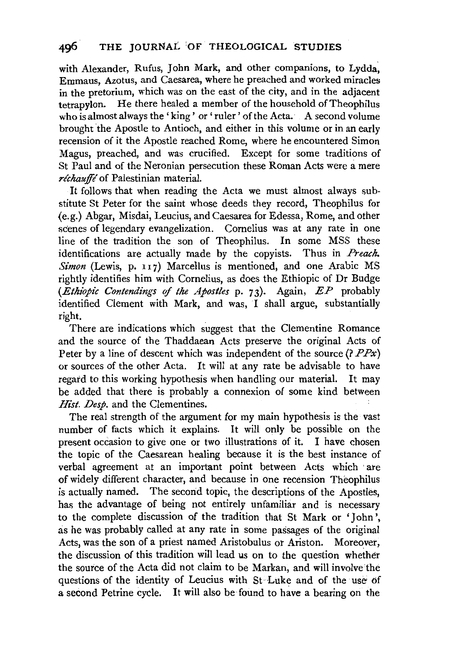with Alexander, Rufus, John Mark, and other companions, to Lydda; Emmaus, Azotus, and Caesarea, where he preached and worked miracles in the pretorium, which was on the east of the city, and in the adjacent tetrapylon. He there healed a member of the household of Theophilus who is almost always the 'king' or 'ruler' of the Acta. A second volume brought the Apostle to Antioch, and either in this volume or in an early recension of it the Apostle reached Rome, where he encountered Simon Magus, preached, and was crucified. Except for some traditions of St Paul and of the Neronian persecution these Roman Acts were a mere réchauffé of Palestinian material.

It follows that when reading the Acta we must almost always substitute St Peter for the saint whose deeds they record, Theophilus for (e.g.) Abgar, Misdai, Leucius, and Caesarea for Edessa, Rome, and other scenes of legendary evangelization. Cornelius was at any rate in one line of the tradition the son of Theophilus. In some MSS these identifications are actually made by the copyists. Thus in *Preach. Simon* (Lewis, p. 117) Marcellus is mentioned, and one Arabic MS rightly identifies him with Cornelius, as does the Ethiopic of Dr Budge *(Ethiopic Con/endings* of *the Apostles* p. 7 3). Again, *EP* probably identified Clement with Mark, and was, I shall argue, substantially right.

There are indications which suggest that the Clementine Romance and the source of the Thaddaean Acts preserve the original Acts of Peter by a line of descent which was independent of the source (? *PPx*) or sources of the other Acta. It will at any rate be advisable to have regard to this working hypothesis when handling our material. It may be added that there is probably a connexion of some kind between *Hist. Desp.* and the Clementines.

The real strength of the argument for my main hypothesis is the vast number of facts which it explains. It will only be possible on the present occasion to give one or two illustrations of it. I have chosen the topic of the Caesarean healing because it is the best instance of verbal agreement at an important point between Acts which ·ate of widely different character, and because in one recension Theophilus is actually named. The second topic, the descriptions of the Apostles, has the advantage of being not entirely unfamiliar and is necessary to the complete discussion of the tradition that St Mark or 'John', as he was probably called at any rate in some passages of the original Acts, was the son of a priest named Aristobulus ot Ariston. Moreover, the discussion of this tradition will lead us on to the question whether the source of the Acta did not claim to be Markan, and will involve the questions of the identity of Leucius with St Luke and of the use of  $\alpha$  second Petrine cycle. It will also be found to have a bearing on the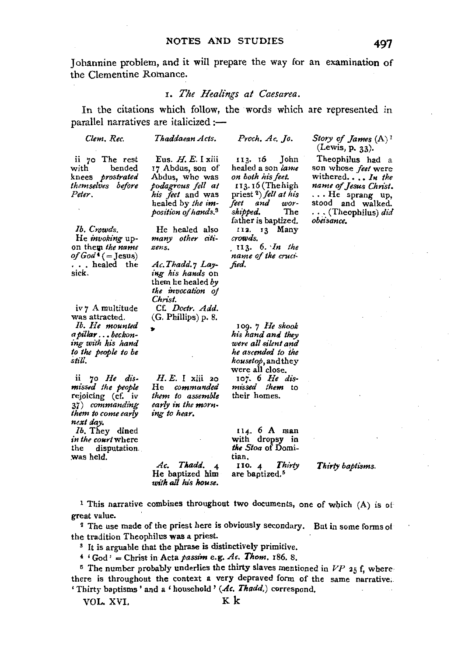Johannine problem, and it will prepare the way for an examination of the Clementine Romance.

#### 1. *The Healings at Caesarea.*

In the citations which follow, the words which are represented in parallel narratives are italicized :-

#### *Clem. Rec.*

*Thaddaean Acts.*  Eus. H. E. I xiii

*Proch. A c. ]o.*  113. 16 John

ii 70 The rest bended knees *prostrated themselves before Peter.* 

<sup>I</sup>7 Abdus, son of Abdus, who was *podagrous fell at* 

*lb. Crowds.*  on them *the name*<br>of God<sup>4</sup> ( = Jesus) ... healed the sick.

iv 7 A multitude<br>was attracted.<br>*Ib. He mounted lb. He mounted a pillar .* .• *beckoning with his hand to the people to be still.* 

ii 70 *He dismissed the people*  rejoicing (cf. iv 37) *commanding them to come ear{y next day.* 

*lb.* They dined *in the courlwhere*  the disputation. :was held.

his feet and was healed by *the imposition of hands.* s He healed also *many other citi zens.* 

*Ac.Thadd.7 Laying his hands* on them he healed *by the invocation of Christ.*  Cf. *Doctr. Add.*  (G. Phillips) p. 8. ,

 $H.E. I xiii zo$ He *commanded them to assemble ear{y in the morn- ing to hear.* 

*Ac. Thadd.* 4 He baptized him *with all his house.* 

healed a son *lame on both his feet.*  11 3· I 6 (The high priest 2) *fell at his feet and wor- shipped.* The father is baptized. II2. 13 Many *crowds.*<br>, 113. 6. In the name of the cruci*fied.* 

*Story of ]ames* (A) 1 (Lewis, p. 33).

Theophilus had a<br>son whose *feet* were withered. . . . In the<br>name of *Jesus Christ*. *name of Jesus Chn'st.* ... He sprang up, stood and walked. ... (Theophilus) *did obez'sance.* 

<sup>I</sup>og. 7 *He shook his hand and they were all silent and he ascended to the housetop,* and they 107. 6 *He dismissed them* to their homes.

114. 6 A man with dropsy in *the Stoa* of Domitian.<br>110.4 no. 4 *Thirty* are baptized. 5

*Thirty baptiSms.* 

<sup>1</sup> This narrative combines throughout two documents, one of which (A) is of great value.

<sup>2</sup> The use made of the priest here is obviously secondary. But in some forms of the tradition Theophilus was a priest.

<sup>3</sup> It is arguable that the phrase is distinctively primitive.

 $4 \cdot \text{God} = \text{Christ in Acta } \text{passim } e.g. \text{ Ac.}$  Thom. 186. 8.

<sup>5</sup> The number probably underlies the thirty slaves mentioned in  $VP$  25 f, where there is throughout the context a very depraved form of the same narrative; 'Thirty baptisms' and a 'household' (Ac. Thadd.) correspond.

VOL. XVI. K k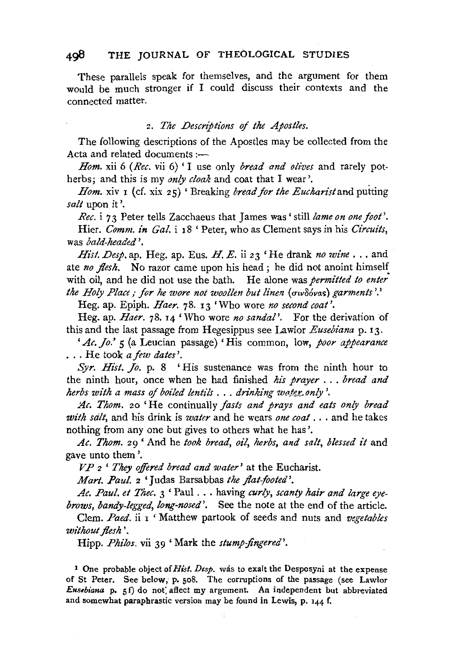These parallels speak for themselves, and the argument for them would be much stronger if I could discuss their contexts and the connected matter.

#### 2. *The Descnptions of the Apostles.*

The following descriptions of the Apostles may be collected from the Acta and related documents :-

*Hom.* xii 6 *(Rec.* vii 6) ' I use only *bread and olives* and rarely potherbs; and this is my *only cloak* and coat that I wear'.

*Hom.* xiv I (cf. xix 25) 'Breaking *bread for the Euckanstand* putting *salt* upon it '.

*Rec.* i 73 Peter tells Zacchaeus that James was' still *lame on one foot'.*  Hier. *Comm. in Gal.* i 18 'Peter, who as Clement says in his *Circuits,*  was *bald-headed'.* 

*Hist. Desp.* ap. Heg. ap. Eus.  $H.E.$  ii 23  $\cdot$  He drank *no wine* ... and ate no flesh. No razor came upon his head; he did not anoint himself with oil, and he did not use the bath. He alone was *permitted to enter' the Holy Place, for he wore not woollen but linen* ( $\sigma$ *uv* $\delta$ *va*  $\gamma$ *) garments*<sup>'.1</sup>

Reg. ap. Epiph. *Haer.* 78. I3 'Who wore *no second coat'.* 

Heg. ap. *Haer.* 78. 14 'Who wore *no sandal'*. For the derivation of this and the last passage from Hegesippus see Lawlor *Eusebiana* p. I3.

*'Ac. Jo.' 5* (a Leucian passage) 'His common, low, *poor appearance*  ... He took *a few dates'.* 

*Syr. Hist. Jo.* p. 8 ' His sustenance was from the ninth hour to the ninth hour, once when he had finished *his prayer* ... *bread and herbs with a mass of boiled lentils ... drinking water only'.* 

*Ac. Tkom.* 20 'He continually *fasts and prays and eats only bread with salt,* and his drink is *water* and he wears *one coat* ..• and he takes nothing from any one but gives to others what he has'.

*Ac. Tkom.* 29 ' And he *took bread, oil, kerbs, and salt, blessed it* and gave unto them'.

*VP* 2 *'They offered bread and water'* at the Eucharist.

*Mart. Paul.* 2 'Judas Barsabbas the flat-footed'.

*Ac. Paul. et Thee.* 3 'Paul ... having *curly, scanty hair and large eyebrows, bandy-legged, long-nosed'.* See the note at the end of the article.

Clem. *Paed.* ii I ' Matthew partook of seeds and nuts and *vegetables without flesh'.* 

Hipp. *Pkilos.* vii 39 'Mark the *stump-fingered'.* 

**<sup>1</sup>**One probable object of *Hist. Desp.* was to exalt the Desposyni at the expense of St Peter. See below, p. 508. The corruptions of the passage (see Lawlor *Eusebiana* p. 5f) do not affect my argument. An independent but abbreviated and somewhat paraphrastic version may be found in Lewis, p. 144 f.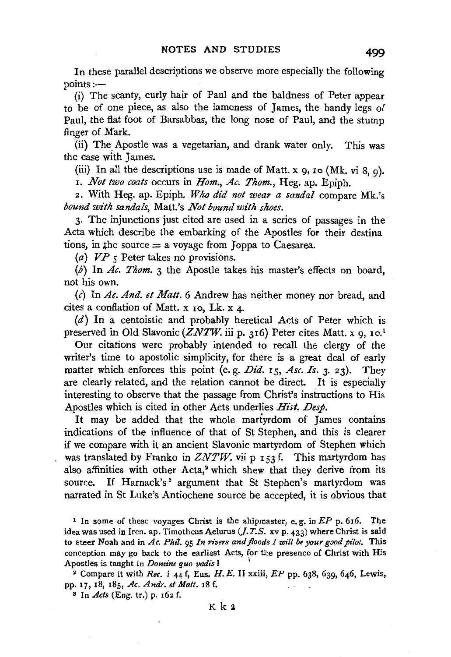In these parallel descriptions we observe more especially the following points:-

(i) The scanty, curly hair of Paul and the baldness of Peter appear to be of one piece, as also the lameness of James, the bandy legs of Paul, the flat foot of Barsabbas, the long nose of Paul, and the stump finger of Mark.

(ii) The. Apostle was a vegetarian, and drank water only. This was the case with James.

(iii) In all the descriptions use is made of Matt. x  $9$ ,  $10$  (Mk, vi  $8$ ,  $9$ ).

1. *Not two coats* occurs in *Hom., Ac. Thom.,* Heg. ap. Epiph.

2. With Heg. ap. Epiph. *Who did not wear a sandal* compare Mk.'s *bound with sandals,* Matt.'s *Not bound with shoes.* 

3· The injunctions just cited are used in a series of passages in the Acta which describe the embarking of the Apostles for their destina tions, in the source  $=$  a voyage from Joppa to Caesarea.

(a) *VP* 5 Peter takes no provisions.

(b) In *Ac. Thom.* 3 the Apostle takes his master's effects on board, not his own.

(c) In *Ac. And. et Matt.* 6 Andrew has neither money nor bread, and cites a conflation of Matt. x ro, Lk. x 4·

(d) In a centoistic and probably heretical Acts of Peter which is preserved in Old Slavonic (ZNTW. iii p. 316) Peter cites Matt. x 9, 10.<sup>1</sup>

Our citations were probably intended to recall the clergy of the writer's time to apostolic simplicity, for there is a great deal of early matter which enforces this point (e.g. *Did.* 15, *Asc. Is.* 3· 23). They are clearly related, and the relation cannot be direct. It is especially interesting to observe that the passage from Christ's instructions to His Apostles which is cited in other Acts underlies *Hist. Desp.* 

It may be added that the whole martyrdom of James contains indications of the influence of that of St Stephen, and this is clearer if we compare with it an ancient Slavonic martyrdom of Stephen which was translated by Franko in *ZNTW*, vii p 153 f. This martyrdom has also affinities with other Acta,<sup>2</sup> which shew that they derive from its source. If Harnack's<sup>3</sup> argument that St Stephen's martyrdom was narrated in St Luke's Antiochene source be accepted, it is obvious that

1 In some of these voyages Christ is the shipmaster, e. g. in *EP* p. 616. The idea was used in Iren. ap. Timotheus Aelurus  $(J.T.S. xv p. 433)$  where Christ is said to steer Noah and in *A c. Phil.* 95 *In rivers and floods I will be your good pilot.* This conception may go back to the earliest Acts, for the presence of Christ with His Apostles is taught in *Domine quo vadis* 1 ' 1

2 Compare it with *Rec.* i 44 f, Eus. *H. E.* II xxiii, *EP* pp. 638, 639, 646, Lewis, pp. 17, 18, 185, *Ac. Andr. et Matt.* 18 f.

8 In *Acts* (Eng. tr.) p. 162 f.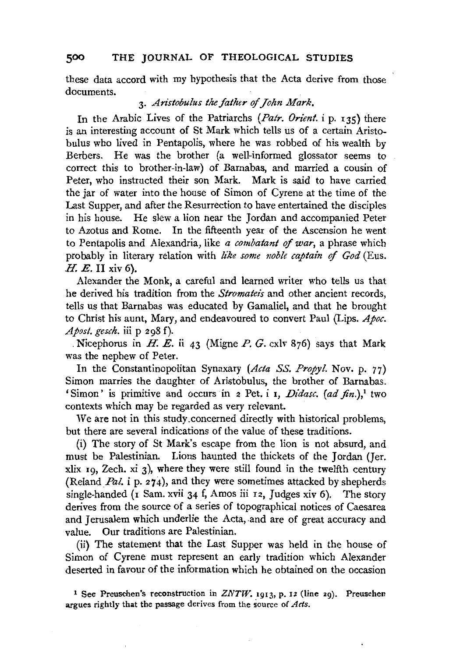500 THE JOURNAL OF THEOLOGICAL STUDIES

these data accord with my hypothesis that the Acta derive from those documents.

## 3· *Aristobulus the father* of *John Mark.*

In the Arabic Lives of the Patriarchs *(Patr. Orient.* i p. 135) there is an interesting account of St Mark which tells us of a certain Aristobulus who lived in Pentapolis, where he was robbed of his wealth by Berbers. He was the brother (a well-informed glossator seems to correct this to brother-in-law) of Barnabas, and married a cousin of Peter, who instructed their son Mark. Mark is said to have carried the jar of water into the house of Simon of Cyrene at the time of the Last Supper, and after the Resurrection to have entertained the disciples in his house. He slew a lion near the Jordan and accompanied Peter to Azotus and Rome. In the fifteenth year of the Ascension he went to Pentapolis and Alexandria, like *a combatant* of *war,* a phrase which probably in literary relation with *like some noble captain* of *God* (Eus. *H. E.* II xiv 6).

Alexander the Monk, a careful and learned writer who tells us that he derived his tradition from the *Stromateis* and other ancient records, tells us that Barnabas was educated by Gamaliel, and that he brought to Christ his aunt, Mary, and endeavoured to convert Paul (Lips. *Apoc. Apost. gesch.* iii p 298 f) .

. Nicephorus in  $H$ .  $E$ . ii 43 (Migne  $P$ .  $G$ . cxlv 876) says that Mark was the nephew of Peter.

In the Constantinopolitan Synaxary *(Acta SS. Propyl.* Nov. p. 77) Simon marries the daughter of Aristobulus, the brother of Barnabas. 'Simon' is primitive and occurs in 2 Pet. i I, *Didasc.*  $(ad \text{ fin.})$ , two contexts which may be regarded as very relevant.

We are not in this study.concerned directly with historical problems, but there are several indications of the value of these traditions.

(i) The story of St Mark's escape from the lion is not absurd, and must be Palestinian. Lions haunted the thickets of the Jordan (Jer. xlix 19, Zech. xi 3), where they were still found in the twelfth century (Reland Pal. i p. 274), and they were sometimes attacked by shepherds single-handed ( $\bar{I}$  Sam. xvii 34 f, Amos iii 12, Judges xiv 6). The story derives from the source of a series of topographical notices of Caesarea and Jerusalem which underlie the Acta, and are of great accuracy and value. Our traditions are Palestinian.

(ii) The statement that the Last Supper was held in the house of Simon of Cyrene must represent an early tradition which Alexander deserted in favour of the information which he obtained on the occasion

<sup>1</sup> See Preuschen's reconstruction in ZNTW. 1913, p. 12 (line 29). Preuschen argues rightly that the passage derives from the source of *Acts.*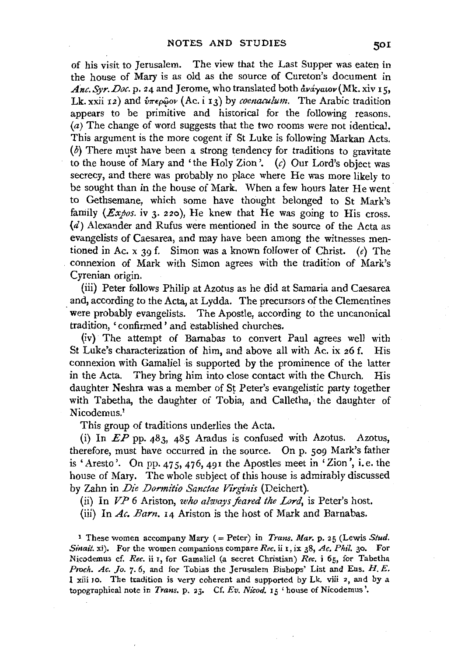of his visit to Jerusalem. The view that the Last Supper was eaten in the house of Mary is as old as the source of Cureton's document in Anc. Syr. Doc. p. 24 and Jerome, who translated both  $\partial u$ *x*  $\partial u$ ov (Mk. xiv 15, Lk. xxii 12) and  $\hat{v}$ <sub> $\pi\epsilon\rho\hat{\omega}$ ov (Ac. i 13) by *coenaculum*. The Arabic tradition</sub> appears to be primitive and historical for the following reasons.  $(a)$  The change of word suggests that the two rooms were not identical. This argument is the more cogent if St Luke is following Markan Acts.  $(b)$  There must have been a strong tendency for traditions to gravitate to the house of Mary and 'the Holy Zion'. (c) Our Lord's object was secrecy, and there was probably no place where He was more likely to be sought than in the house of Mark. When a few hours later He went to Gethsemane, which some have thought belonged to St Mark's family *(Expos.* iv 3. 220), He knew that He was going to His cross.  $(d)$  Alexander and Rufus were mentioned in the source of the Acta as evangelists of Caesarea, and may have been among the witnesses mentioned in Ac. x 39 f. Simon was a known follower of Christ. (e) The . connexion of Mark with Simon agrees with the tradition of Mark's Cyrenian origin.

(iii) Peter follows Philip at Azotus as he did at Samaria and Caesarea and, according to the Acta, at Lydda. The precursors of the Clementines were probably evangelists. The Apostle, according to the uncanonical tradition, 'confirmed' and established churches.

(iv) The attempt of Barnabas to convert Paul agrees well with St Luke's characterization of him, and above all with Ac. ix 26 f. His connexion with Gamaliel is supported by the prominence of the latter in the Acta. They bring him into close contact with the Church. His daughter Neshra was a member of St Peter's evangelistic party together with Tabetha, the daughter of Tobia, and Calletha, the daughter of Nicodemus.<sup>1</sup>

This group of traditions underlies the Acta.

(i) In *EP* pp. 483, 485 Aradus is confused with Azotus. Azotus, therefore, must have occurred in the source. On p. 509 Mark's father is 'Aresto '. On pp. 47 5, 476, 491 the Apostles meet in 'Zion', i.e. the house of Mary. The whole subject of this house is admirably discussed by Zahn in *Die Dormitio Sanctae Virginis* (Deichert).

(ii) In *VP* 6 Ariston, *who always feared the Lord,* is Peter's host.

(iii) In *Ac. Barn.* 14 Ariston is the host of Mark and Barnabas.

1 These women accompany Mary ( = Peter) in *Trans. Mar.* p. 25 (Lewis *Stud. Sinait.* xi). For the women companions compare *Rec.* ii r, ix 38, *Ac. Phil.* 30. For Nicodemus cf. *Rec.* ii r, for Gamaliel (a secret Christian) *Rec.* i 65, for Tabetha *Proch. Ac. ]o.* 7· 6, and for Tobias the Jerusalem Bishops' List and Eus. *H. E.*  I xiii 10. The tradition is very coherent and supported by Lk. viii 2, and by a topographical note in *Trans.* p. 23. Cf. *Ev. Nicod.* 15 'house of Nicodemus'.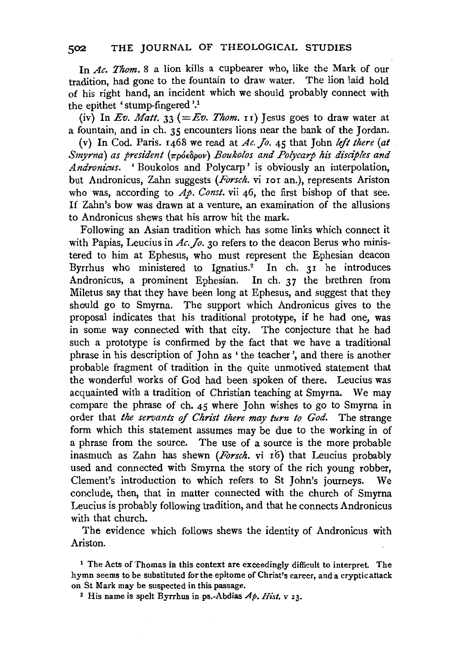In *Ac. Thom.* 8 a lion kills a cupbearer who, like the Mark of our tradition, had gone to the fountain to draw water. The lion laid hold of his right hand, an incident which we should probably connect with the epithet 'stump-fingered '.1

(iv) In *Ev. Matt.* 33 (=*Ev. Thom.* 11) Jesus goes to draw water at a fountain, and in ch. 35 encounters lions near the bank of the Jordan.

(v) In Cod. Paris. 1468 we read at *Ac. Jo.* 45 that John *left there (at Smyrna*) as *president* (πρόεδρον) *Boukolos and Polycarp his disciples and Andronicus.* 'Boukolos and Polycarp' is obviously an interpolation, but Andronicus, Zahn suggests *(Forsch.* vi ror an.), represents Ariston who was, according to  $A\phi$ . Const. vii 46, the first bishop of that see. If Zahn's bow was drawn at a venture, an examination of the allusions to Andronicus shews that his arrow hit the mark.

Following an Asian tradition which has some links which connect it with Papias, Leucius in *Ac. Jo.* 30 refers to the deacon Berus who ministered to him at Ephesus. who must represent the Ephesian deacon Byrrhus who ministered to Ignatius.<sup>2</sup> In ch.  $31$  he introduces Andronicus, a prominent Ephesian. In ch. 37 the brethren from Miletus say that they have been long at Ephesus, and suggest that they should go to Smyrna. The support which Andronicus gives to the proposal indicates that his traditional prototype, if he had one, was in some way connected with that city. The conjecture that he had such a prototype is confirmed by the fact that we have a traditional phrase in his description of John as ' the teacher', and there is another probable fragment of tradition in the quite unmotived statement that the wonderful works of God had been spoken of there. Leucius was acquainted with a tradition of Christian teaching at Smyrna. We may compare the phrase of ch. 45 where John wishes to go to Smyrna in order that *the servants* of *Christ there may turn to God.* The strange form which this statement assumes may be due to the working in of a phrase from the source. The use of a source is the more probable inasmuch as Zahn has shewn (Forsch. vi 16) that Leucius probably used and connected with Smyrna the story of the rich young robber, Clement's introduction to which refers to St John's journeys. We condude, then, that in matter connected with the church of Smyrna Leucius is probably following tradition, and that he connects Andronicus with that church.

The evidence which follows shews the identity of Andronicus with Ariston.

<sup>1</sup> The Acts of Thomas in this context are exceedingly difficult to interpret. The hymn seems to be substituted for the epitome of Christ's career, and a cryptic attack on St Mark may be suspected in this passage.

2 His name is spelt Byrrhus in ps.-Abdias *Ap. Hist.* v 23.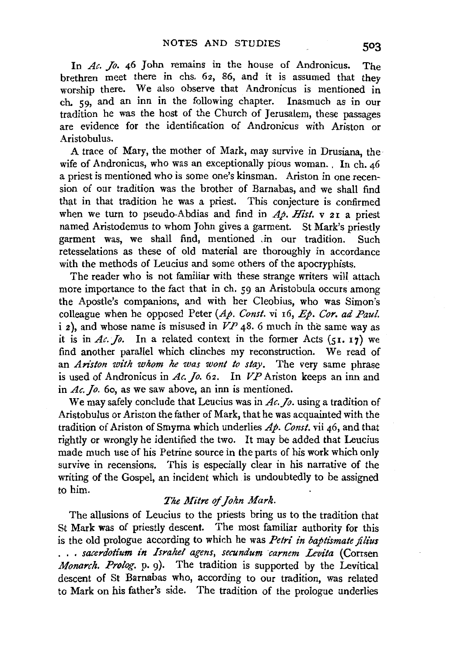In *Ac. Jo.* 46 John remains in the house of Andronicus. The brethren meet there in chs. 62, 86, and it is assumed that they worship there. We also observe that Andronicus is mentioned in ch. 59, and an inn in the following chapter. Inasmuch as in our tradition he was the host of the Church of Jerusalem, these passages are evidence for the identification of Andronicus with Ariston or Aristobulus.

A trace of Mary, the mother of Mark, may survive in Drusiana, the wife of Andronicus, who was an exceptionally pious woman. In ch.  $46$ a priest is mentioned who is some one's kinsman. Ariston in one recension of our tradition was the brother of Barnabas, and we shall find that in that tradition he was a priest. This conjecture is confirmed when we turn to pseudo-Abdias and find in Ap. Hist. v 21 a priest named Aristodemus to whom John gives a garment. St Mark's priestly garment was, we shall find, mentioned .in our tradition. Such retesselations as these of old material are thoroughly in accordance with the methods of Leucius and some others of the apocryphists.

The reader who is not familiar with these strange writers will attach more importance to the fact that in ch. 59 an Aristobula occurs among the Apostle's companions, and with her Cleobius, who was Simon's colleague when he opposed Peter *(Ap. Const.* vi 16, *Ep. Cor. ad Paul.*  i  $\alpha$ ), and whose name is misused in  $VP$   $48.6$  much in the same way as it is in *Ac. Jo.* In a related context in the former Acts  $(51, 17)$  we find another parallel which clinches my reconstruction. We read of an *Ariston with whom he was wont to stay*. The very same phrase is used of Andronicus in  $Ac$ . *Jo.* 62. In  $VP$  Ariston keeps an inn and in *Ac. Jo.* 6o, as we saw above, an inn is mentioned.

We may safely conclude that Leucius was in *Ac.Jo.* using a tradition of Aristobulus or Ariston the father of Mark, that he was acquainted with the tradition of Ariston of Smyrna which underlies *Ap. Const.* vii 46, and that rightly or wrongly he identified the two. It may be added that Leucius made much use of his Petrine source in the parts of his work which only survive in recensions. This is especially clear in his narrative of the writing of the Gospel, an incident which is undoubtedly to be assigned to him.

## *The Mitre of John Mark.*

The allusions of Leucius to the priests bring us to the tradition that St Mark was of priestly descent. The most familiar authority for this is the old prologue according to which he was *Petri in baptismate filius* ... *sacerdotium in Israhel agens, secundum carnem Levita* (Corrsen *Monarch. Prolog.* p. 9). The tradition is supported by the Levitical descent of St Barnabas who, according to our tradition, was related to Mark on his father's side. The tradition of the prologue underlies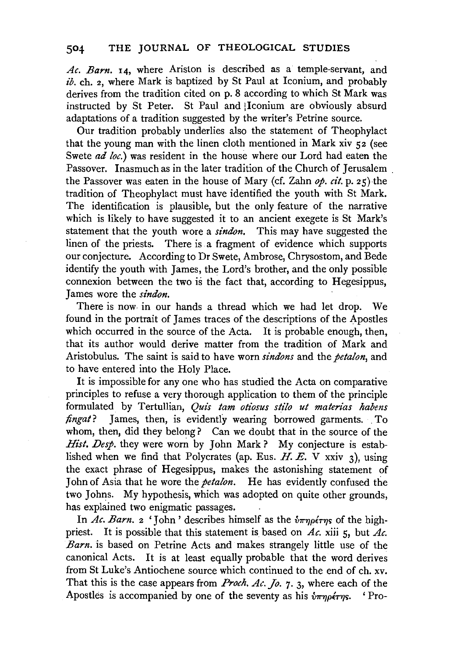*Ac. Barn.* 14, where Ariston is described as a temple-servant, and  $i\delta$ , ch. 2, where Mark is baptized by St Paul at Iconium, and probably derives from the tradition cited on p. 8 according to which St Mark was instructed by St Peter. St Paul and Iconium are obviously absurd adaptations of a tradition suggested by the writer's Petrine source.

Our tradition probably underlies also the statement of Theophylact that the young man with the linen cloth mentioned in Mark xiv 52 (see Swete *ad loc.)* was resident in the house where our Lord had eaten the Passover. Inasmuch as in the later tradition of the Church of Jerusalem . the Passover was eaten in the house of Mary (cf. Zahn  $op.$  cit. p. 25) the tradition of Theophylact must have identified the youth with St Mark. The identification is plausible, but the only feature of the narrative which is likely to have suggested it to an ancient exegete is St Mark's statement that the youth wore a *sindon*. This may have suggested the linen of the priests. There is a fragment of evidence which supports our conjecture. According to Dr Swete, Ambrose, Chrysostom, and Bede identify the youth with James, the Lord's brother, and the only possible connexion between the two is the fact that, according to Hegesippus, James wore the *sindon*.

There is now. in our hands a thread which we had let drop. We found in the portrait of James traces of the descriptions of the Apostles which occurred in the source of the Acta. It is probable enough, then, that its author would derive matter from the tradition of Mark and Aristobulus. The saint is said to have worn *sz'ndons* and the *petalon,* and to have entered into the Holy Place.

It is impossible for any one who has studied the Acta on comparative principles to refuse a very thorough application to them of the principle formulated by Tertullian, *Quis tam otiosus stilo ut materias habens fingat?* James, then, is evidently wearing borrowed garments. To whom, then, did they belong? Can we doubt that in the source of the *Hist. Desp.* they were worn by John Mark? My conjecture is established when we find that Polycrates (ap. Eus.  $H.E.$  V xxiv 3), using the exact phrase of Hegesippus, makes the astonishing statement of John of Asia that he wore the *petalon.* He has evidently confused the two Johns. My hypothesis, which was adopted on quite other grounds, has explained two enigmatic passages.

In *Ac. Barn.* 2 'John' describes himself as the ύπηρέτης of the highpriest. It is possible that this statement is based on *Ac*. xiii 5, but *Ac*. *Barn.* is based on Petrine Acts and makes strangely little use of the canonical Acts. It is at least equally probable that the word derives from St Luke's Antiochene source which continued to the end of ch. xv. That this is the case appears from *Proch. Ac. Jo.* 7. 3, where each of the Apostles is accompanied by one of the seventy as his  $\hat{v}$ *mpérns*. 'Pro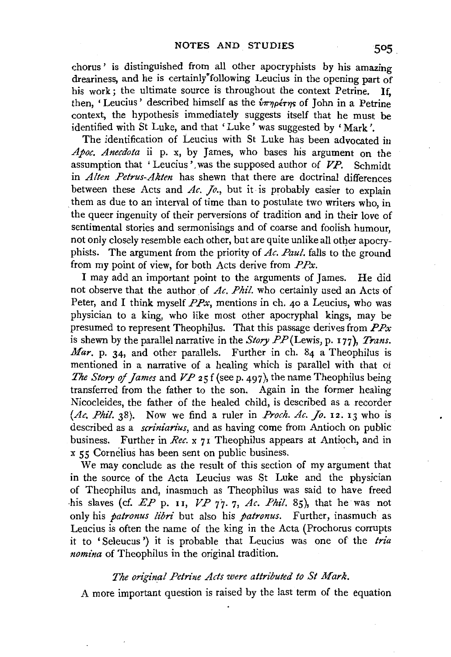chorus ' is distinguished from all other apocryphists by his amazing dreariness, and he is certainly"following Leucius in the opening part of his work; the ultimate source is throughout the context Petrine. If, then, 'Leucius' described himself as the  $\hat{v}_{\pi\eta\rho\epsilon\tau\eta\varsigma}$  of John in a Petrine context, the hypothesis immediately suggests itself that he must be identified with St Luke, and that 'Luke' was suggested by 'Mark'.

The identification of Leucius with St Luke has been advocated in *Apoc. Anecdota* ii p. x, by James, who bases his argument on the assumption that 'Leucius ',was the supposed author of *VP.* Schmidt in *Alten Petrus-Akten* has shewn that there are doctrinal differences between these Acts and *Ac. Jo.,* but it is probably easier to explain them as due to an interval of time than to postulate two writers who, in the queer ingenuity of their perversions of tradition and in their love of sentimental stories and sermonisings and of coarse and foolish humour, not only closely resemble each other, but are quite unlike all other apocryphists. The argument from the priority of *Ac. Paul.* falls to the ground from my point of view, for both Acts derive from PPx.

I may add an important point to the arguments of James. He did not observe that the author of *Ac. Phil.* who certainly used an Acts of Peter, and I think myself *PPx*, mentions in ch. 40 a Leucius, who was physician to a king, who like most other apocryphal kings, may be presumed to represent Theophilus. That this passage derives from  $PPx$ is shewn by the parallel narrative in the *Story* PP(Lewis, p. 177), *Trans.*  Mar. p. 34, and other parallels. Further in ch. 84 a Theophilus is mentioned in a narrative of a healing which is parallel with that ot *The Story of James* and  $VP$  25 f (see p. 497), the name Theophilus being transferred from the father to the son. Again in the former healing Nicocleides, the father of the healed child, is described as a recorder *(Ac. Phil.* 38). Now we find a ruler in *Proch. Ac. Jo.* 12. 13 who is described as a *scriniarius*, and as having come from Antioch on public business. Further in *Rec.* x 71 Theophilus appears at Antioch, and in x 55 Cornelius has been sent on public business.

We may conclude as the result of this section of my argument that in the source of the Acta Leucius was St Luke and the physician of Theophilus and, inasmuch as Theophilus was said to have freed -his slaves (cf. *EP* p. 11, *VP 71·* 7, *Ac. Phil.* 85), that he was not only his *patronus libri* but also his *patronus*. Further, inasmuch as Leucius is often the name of the king in the Acta (Prochorus corrupts it to 'Seleucus ') it is probable that Leucius was one of the *tria nomina* of Theophilus in the original tradition.

### *The original Petrine Acts were attributed to St Mark.*

A more important question is raised by the last term of the equation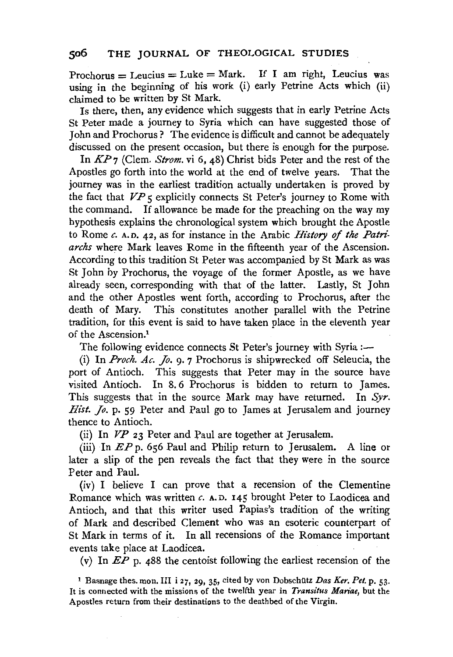#### 506 THE JOURNAL OF THEOLOGICAL STUDIES

Prochorus = Leucius = Luke = Mark. If I am right, Leucius was using in the beginning of his work (i) early Petrine Acts which (ii) claimed to be written by St Mark.

Is there, then, any evidence which suggests that in early Petrine Acts St Peter made a journey to Syria which can have suggested those of John and Prochorus? The evidence is difficult and cannot be adequately discussed on the present occasion, but there is enough for the purpose.

In *KP7* (Clem. *Strom.* vi 6, 48) Christ bids Peter and the rest of the Apostles go forth into the world at the end of twelve years. That the journey was in the earliest tradition actually undertaken is proved by the fact that  $VP \leq$  explicitly connects St Peter's journey to Rome with the command. If allowance be made for the preaching on the way my hypothesis explains the chronological system which brought the Apostle to Rome *c.* A. D. 42, as for instance in the Arabic *History of the Patriarchs* where Mark leaves Rome in the fifteenth year of the Ascension. According to this tradition St Peter was accompanied by St Mark as was St John by Prochorus, the voyage of the former Apostle, as we have already seen, corresponding with that of the latter. Lastly, St John and the other Apostles went forth, according to Prochorus, after the death of Mary. This constitutes another parallel with the Petrine tradition, for this event is said to have taken place in the eleventh year of the Ascension.1

The following evidence connects St Peter's journey with Syria :-

(i) In *Proch. Ac. Jo.* 9.7 Prochorus is shipwrecked off Seleucia, the port of Antioch. This suggests that Peter may in the source have visited Antioch. In 8. 6 Prochorus is bidden to return to James. This suggests that in the source Mark may have returned. In *Syr. Hist. Jo.* p. 59 Peter and Paul go to James at Jerusalem and journey thence to Antioch.

(ii) In  $VP$  23 Peter and Paul are together at Jerusalem.

(iii) In  $EP$  p. 656 Paul and Philip return to Jerusalem. A line or later a slip of the pen reveals the fact that they were in the source Peter and Paul.

(iv) I believe I can prove that a recension of the Clementine Romance which was written *c.* A. D. 145 brought Peter to Laodicea and Antioch, and that this writer used Papias's tradition of the writing of Mark and described Clement who was an esoteric counterpart of St Mark in terms of it. In all recensions of the Romance important events take place at Laodicea.

(v) In  $EP$  p. 488 the centoist following the earliest recension of the

1 Basnage thes. mon. III i 27, 29, 35, cited by von Dobschutz *Das Ker. Pet.* p. 53· It is connected with the missions of the twelfth year in *Transitus Mariae,* but the Apostles return from their destinations to the deathbed of the Virgin.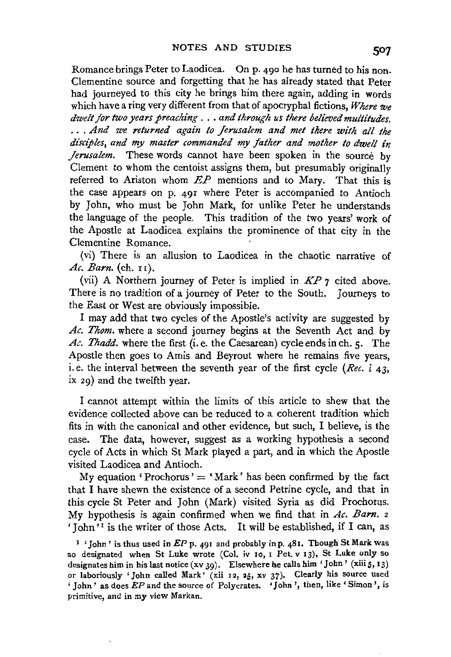Romance brings Peter to Laodicea. On p. 490 he has turned to his non-Clementine source and forgetting that he has already stated that Peter had journeyed to this city he brings him there again, adding in words which have a ring very different from that of apocryphal fictions, *Where we dwelt for two years preaching* ... *and through us there believed multitudes .*  • . . *And we returned again to Jerusalem and met there with all the disciples, and my master commanded my father and mother to dwell in Jerusalem.* These words cannot have been spoken in the source by Clement to whom the centoist assigns them, but presumably originally referred to Ariston whom *EP* mentions and to Mary. That this is the case appears on p. 49r where Peter is accompanied to Antioch by John, who must be John Mark, for unlike Peter he understands the language of the people. This tradition of the two years' work of the Apostle at Laodicea explains the prominence of that city in the Clementine Romance.

(vi) There is an allusion to Laodicea in the chaotic narrative of Ac. Barn. (ch. 11).

(vii) A Northern journey of Peter is implied in *KP* 7 cited above. There is no tradition of a journey of Peter to the South. Journeys to the East or West are obviously impossible.

I may add that two cycles of the Apostle's activity are suggested by *Ac. Thom.* where a second journey begins at the Seventh Act and by Ac. Thadd. where the first (i.e. the Caesarean) cycle ends in ch. 5. The Apostle then goes to Amis and Beyrout where he remains five years, i.e. the interval between the seventh year of the first cycle *(Ret.* i 43, ix 29) and the twelfth year.

I cannot attempt within the limits of this article to shew that the evidence collected above can be reduced to a coherent tradition which fits in with the canonical and other evidence, but such, I believe, is the case. The data, however, suggest as a working hypothesis a second cycle of Acts in which St Mark played a part, and in which the Apostle visited Laodicea and Antioch.

My equation 'Prochorus'  $=$  'Mark' has been confirmed by the fact that I have shewn the existence of a second Petrine cycle, and that in this cycle St Peter and John (Mark) visited Syria as did Prochorus. My hypothesis is again confirmed when we find that in *Ac. Barn.* <sup>2</sup> ' John'<sup>1</sup> is the writer of those Acts. It will be established, if I can, as

1 'John' is thus used in *EP* p. 491 and probably inp. 481. Though St Mark was so designated when St Luke wrote (Col. iv 10, 1 Pet. v 13), St Luke only so designates him in his last notice (xv 39). Elsewhere he calls him 'John' (xiii 5, 13) or laboriously 'John called Mark' (xii 12, 25, xv 37). Clearly his source used ' John ' as does *EP* and the source of Polycrates. 'John ', then, like 'Simon', is primitive, and in my view Markan.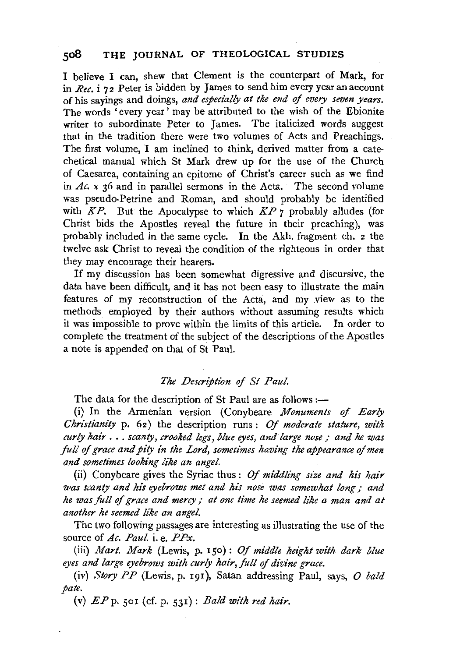#### **so8 THE JOURNAL OF THEOLOGICAL STUDIES**

I believe I can, shew that Clement is the counterpart of Mark, for in *Rec.* i 72 Peter is bidden by James to send him every year an account of his sayings and doings, *and especially at the end* of *every seven years.*  The words 'every year' may be attributed to the wish of the Ebionite writer to subordinate Peter to James. The italicized words suggest that in the tradition there were two volumes of Acts and Preachings. The first volume, I am inclined to think, derived matter from a catechetical manual which St Mark drew up for the use of the Church of Caesarea, containing an epitome of Christ's career such as we find in *Ac.* x 36 and in parallel sermons in the Acta. The second volume was pseudo-Petrine and Roman, and should probably be identified with  $KP$ . But the Apocalypse to which  $KP$  7 probably alludes (for Christ bids the Apostles reveal the future in their preaching), was probably included in the same cycle. In the Akh. fragment ch. 2 the twelve ask Christ to reveal the condition of the righteous in order that they may encourage their hearers.

If my discussion has been somewhat digressive and discursive, the data have been difficult, and it has not been easy to illustrate the main features of my reconstruction of the Acta, and my view as to the methods employed by their authors without assuming results which it was impossible to prove within the limits of this article. In order to complete the treatment of the subject of the descriptions of the Apostles a note is appended on that of St Paul.

### *The Description of St Paul.*

The data for the description of St Paul are as follows :-

(i) In the Armenian version (Conybeare *Monuments of Early Christianity* p. 62) the description runs : *Of moderate stature, with curly hair .* .. *scanty, crooked legs, blue eyes, and large nose\_- and he was full* of *grace and pity in the Lord, sometimes having the appearance of men and sometimes looking Hke an angel.* 

(ii) Conybeare gives the Syriac thus: *Of middling size and his hair was scanty and his eyebrows met and his nose was somewhat long,· and he was full of grace and mercy/ at one time he seemed like a man and at another he seemed like an angel.* 

The two following passages are interesting as illustrating the use of the source of *Ac. Paul.* i. e. *PPx*.

(iii) *Mart. Mark* (Lewis, p. 150): Of middle height with dark blue *eyes and large eyebrows with curly hair, full* of *divine grace.* 

(iv) *Story PP* (Lewis, p. 191), Satan addressing Paul, says, *0 bald pate.* 

(v) *EPp.* sox (cf. p. 531): *Bald with red hair.*